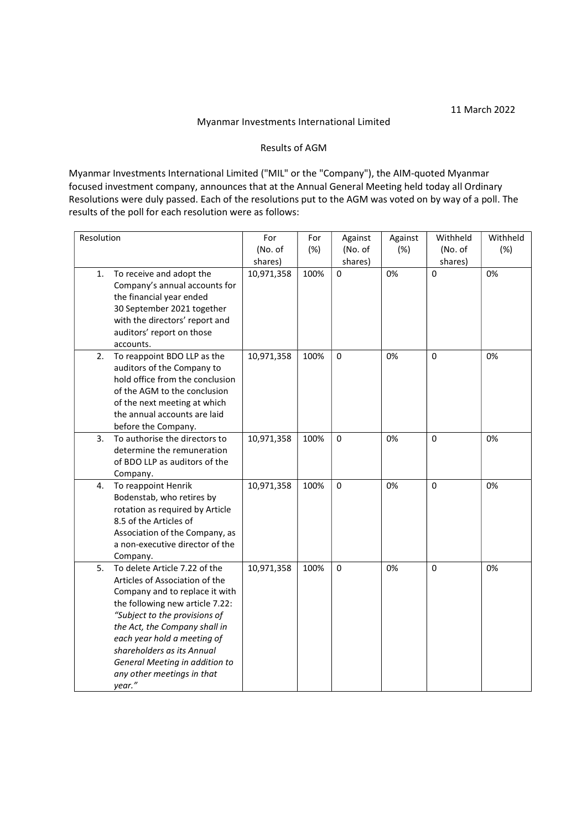## Myanmar Investments International Limited

## Results of AGM

Myanmar Investments International Limited ("MIL" or the "Company"), the AIM-quoted Myanmar focused investment company, announces that at the Annual General Meeting held today all Ordinary Resolutions were duly passed. Each of the resolutions put to the AGM was voted on by way of a poll. The results of the poll for each resolution were as follows:

| Resolution |                                                                                                                                                                                                                                                                                                                                               | For        | For  | Against   | Against | Withheld | Withheld |
|------------|-----------------------------------------------------------------------------------------------------------------------------------------------------------------------------------------------------------------------------------------------------------------------------------------------------------------------------------------------|------------|------|-----------|---------|----------|----------|
|            |                                                                                                                                                                                                                                                                                                                                               | (No. of    | (%)  | (No. of   | (%)     | (No. of  | (%)      |
|            |                                                                                                                                                                                                                                                                                                                                               | shares)    |      | shares)   |         | shares)  |          |
| 1.         | To receive and adopt the<br>Company's annual accounts for<br>the financial year ended<br>30 September 2021 together<br>with the directors' report and<br>auditors' report on those<br>accounts.                                                                                                                                               | 10,971,358 | 100% | 0         | 0%      | 0        | 0%       |
| 2.         | To reappoint BDO LLP as the<br>auditors of the Company to<br>hold office from the conclusion<br>of the AGM to the conclusion<br>of the next meeting at which<br>the annual accounts are laid<br>before the Company.                                                                                                                           | 10,971,358 | 100% | 0         | 0%      | $\Omega$ | 0%       |
| 3.         | To authorise the directors to<br>determine the remuneration<br>of BDO LLP as auditors of the<br>Company.                                                                                                                                                                                                                                      | 10,971,358 | 100% | 0         | 0%      | $\Omega$ | 0%       |
| 4.         | To reappoint Henrik<br>Bodenstab, who retires by<br>rotation as required by Article<br>8.5 of the Articles of<br>Association of the Company, as<br>a non-executive director of the<br>Company.                                                                                                                                                | 10,971,358 | 100% | $\pmb{0}$ | 0%      | 0        | 0%       |
| 5.         | To delete Article 7.22 of the<br>Articles of Association of the<br>Company and to replace it with<br>the following new article 7.22:<br>"Subject to the provisions of<br>the Act, the Company shall in<br>each year hold a meeting of<br>shareholders as its Annual<br>General Meeting in addition to<br>any other meetings in that<br>year." | 10,971,358 | 100% | 0         | 0%      | 0        | 0%       |